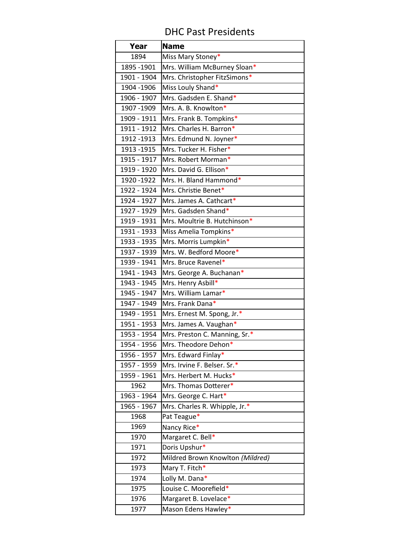## DHC Past Presidents

| Year        | <b>Name</b>                      |
|-------------|----------------------------------|
| 1894        | Miss Mary Stoney*                |
| 1895 - 1901 | Mrs. William McBurney Sloan*     |
| 1901 - 1904 | Mrs. Christopher FitzSimons*     |
| 1904 - 1906 | Miss Louly Shand*                |
| 1906 - 1907 | Mrs. Gadsden E. Shand*           |
| 1907 - 1909 | Mrs. A. B. Knowlton*             |
| 1909 - 1911 | Mrs. Frank B. Tompkins*          |
| 1911 - 1912 | Mrs. Charles H. Barron*          |
| 1912 - 1913 | Mrs. Edmund N. Joyner*           |
| 1913 - 1915 | Mrs. Tucker H. Fisher*           |
| 1915 - 1917 | Mrs. Robert Morman*              |
| 1919 - 1920 | Mrs. David G. Ellison*           |
| 1920 - 1922 | Mrs. H. Bland Hammond*           |
| 1922 - 1924 | Mrs. Christie Benet*             |
| 1924 - 1927 | Mrs. James A. Cathcart*          |
| 1927 - 1929 | Mrs. Gadsden Shand*              |
| 1919 - 1931 | Mrs. Moultrie B. Hutchinson*     |
| 1931 - 1933 | Miss Amelia Tompkins*            |
| 1933 - 1935 | Mrs. Morris Lumpkin*             |
| 1937 - 1939 | Mrs. W. Bedford Moore*           |
| 1939 - 1941 | Mrs. Bruce Ravenel*              |
| 1941 - 1943 | Mrs. George A. Buchanan*         |
| 1943 - 1945 | Mrs. Henry Asbill*               |
| 1945 - 1947 | Mrs. William Lamar*              |
| 1947 - 1949 | Mrs. Frank Dana*                 |
| 1949 - 1951 | Mrs. Ernest M. Spong, Jr.*       |
| 1951 - 1953 | Mrs. James A. Vaughan*           |
| 1953 - 1954 | Mrs. Preston C. Manning, Sr.*    |
| 1954 - 1956 | Mrs. Theodore Dehon*             |
| 1956 - 1957 | Mrs. Edward Finlay*              |
| 1957 - 1959 | Mrs. Irvine F. Belser. Sr.*      |
| 1959 - 1961 | Mrs. Herbert M. Hucks*           |
| 1962        | Mrs. Thomas Dotterer*            |
| 1963 - 1964 | Mrs. George C. Hart*             |
| 1965 - 1967 | Mrs. Charles R. Whipple, Jr.*    |
| 1968        | Pat Teague*                      |
| 1969        | Nancy Rice*                      |
| 1970        | Margaret C. Bell*                |
| 1971        | Doris Upshur*                    |
| 1972        | Mildred Brown Knowlton (Mildred) |
| 1973        | Mary T. Fitch*                   |
| 1974        | Lolly M. Dana*                   |
| 1975        | Louise C. Moorefield*            |
| 1976        | Margaret B. Lovelace*            |
| 1977        | Mason Edens Hawley*              |